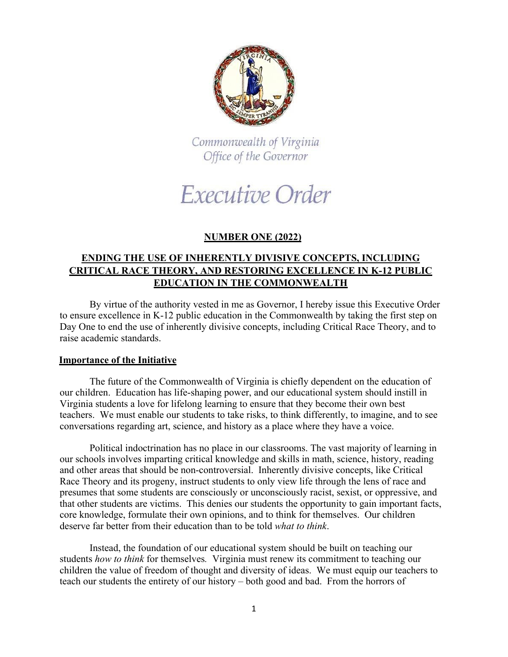

Commonwealth of Virginia Office of the Governor

# Executive Order

## **NUMBER ONE (2022)**

### **ENDING THE USE OF INHERENTLY DIVISIVE CONCEPTS, INCLUDING CRITICAL RACE THEORY, AND RESTORING EXCELLENCE IN K-12 PUBLIC EDUCATION IN THE COMMONWEALTH**

By virtue of the authority vested in me as Governor, I hereby issue this Executive Order to ensure excellence in K-12 public education in the Commonwealth by taking the first step on Day One to end the use of inherently divisive concepts, including Critical Race Theory, and to raise academic standards.

#### **Importance of the Initiative**

The future of the Commonwealth of Virginia is chiefly dependent on the education of our children. Education has life-shaping power, and our educational system should instill in Virginia students a love for lifelong learning to ensure that they become their own best teachers. We must enable our students to take risks, to think differently, to imagine, and to see conversations regarding art, science, and history as a place where they have a voice.

Political indoctrination has no place in our classrooms. The vast majority of learning in our schools involves imparting critical knowledge and skills in math, science, history, reading and other areas that should be non-controversial. Inherently divisive concepts, like Critical Race Theory and its progeny, instruct students to only view life through the lens of race and presumes that some students are consciously or unconsciously racist, sexist, or oppressive, and that other students are victims. This denies our students the opportunity to gain important facts, core knowledge, formulate their own opinions, and to think for themselves. Our children deserve far better from their education than to be told *what to think*.

Instead, the foundation of our educational system should be built on teaching our students *how to think* for themselves*.* Virginia must renew its commitment to teaching our children the value of freedom of thought and diversity of ideas. We must equip our teachers to teach our students the entirety of our history – both good and bad. From the horrors of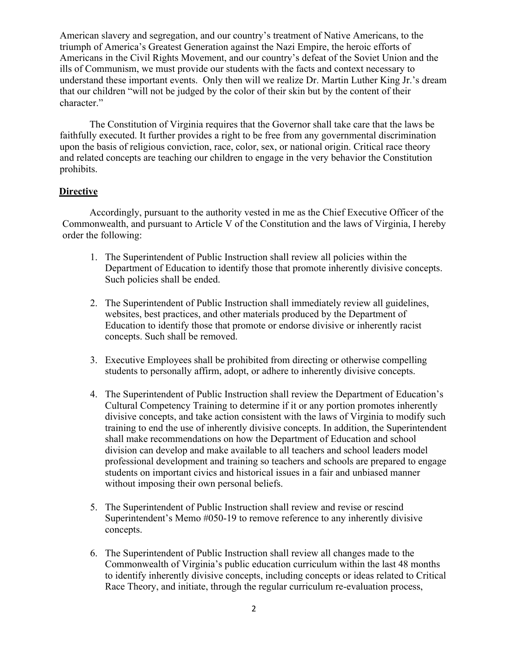American slavery and segregation, and our country's treatment of Native Americans, to the triumph of America's Greatest Generation against the Nazi Empire, the heroic efforts of Americans in the Civil Rights Movement, and our country's defeat of the Soviet Union and the ills of Communism, we must provide our students with the facts and context necessary to understand these important events. Only then will we realize Dr. Martin Luther King Jr.'s dream that our children "will not be judged by the color of their skin but by the content of their character."

The Constitution of Virginia requires that the Governor shall take care that the laws be faithfully executed. It further provides a right to be free from any governmental discrimination upon the basis of religious conviction, race, color, sex, or national origin. Critical race theory and related concepts are teaching our children to engage in the very behavior the Constitution prohibits.

#### **Directive**

Accordingly, pursuant to the authority vested in me as the Chief Executive Officer of the Commonwealth, and pursuant to Article V of the Constitution and the laws of Virginia, I hereby order the following:

- 1. The Superintendent of Public Instruction shall review all policies within the Department of Education to identify those that promote inherently divisive concepts. Such policies shall be ended.
- 2. The Superintendent of Public Instruction shall immediately review all guidelines, websites, best practices, and other materials produced by the Department of Education to identify those that promote or endorse divisive or inherently racist concepts. Such shall be removed.
- 3. Executive Employees shall be prohibited from directing or otherwise compelling students to personally affirm, adopt, or adhere to inherently divisive concepts.
- 4. The Superintendent of Public Instruction shall review the Department of Education's Cultural Competency Training to determine if it or any portion promotes inherently divisive concepts, and take action consistent with the laws of Virginia to modify such training to end the use of inherently divisive concepts. In addition, the Superintendent shall make recommendations on how the Department of Education and school division can develop and make available to all teachers and school leaders model professional development and training so teachers and schools are prepared to engage students on important civics and historical issues in a fair and unbiased manner without imposing their own personal beliefs.
- 5. The Superintendent of Public Instruction shall review and revise or rescind Superintendent's Memo #050-19 to remove reference to any inherently divisive concepts.
- 6. The Superintendent of Public Instruction shall review all changes made to the Commonwealth of Virginia's public education curriculum within the last 48 months to identify inherently divisive concepts, including concepts or ideas related to Critical Race Theory, and initiate, through the regular curriculum re-evaluation process,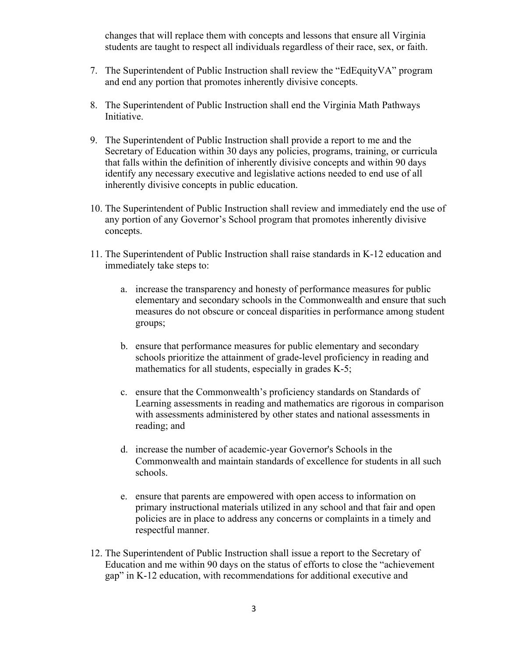changes that will replace them with concepts and lessons that ensure all Virginia students are taught to respect all individuals regardless of their race, sex, or faith.

- 7. The Superintendent of Public Instruction shall review the "EdEquityVA" program and end any portion that promotes inherently divisive concepts.
- 8. The Superintendent of Public Instruction shall end the Virginia Math Pathways Initiative.
- 9. The Superintendent of Public Instruction shall provide a report to me and the Secretary of Education within 30 days any policies, programs, training, or curricula that falls within the definition of inherently divisive concepts and within 90 days identify any necessary executive and legislative actions needed to end use of all inherently divisive concepts in public education.
- 10. The Superintendent of Public Instruction shall review and immediately end the use of any portion of any Governor's School program that promotes inherently divisive concepts.
- 11. The Superintendent of Public Instruction shall raise standards in K-12 education and immediately take steps to:
	- a. increase the transparency and honesty of performance measures for public elementary and secondary schools in the Commonwealth and ensure that such measures do not obscure or conceal disparities in performance among student groups;
	- b. ensure that performance measures for public elementary and secondary schools prioritize the attainment of grade-level proficiency in reading and mathematics for all students, especially in grades K-5;
	- c. ensure that the Commonwealth's proficiency standards on Standards of Learning assessments in reading and mathematics are rigorous in comparison with assessments administered by other states and national assessments in reading; and
	- d. increase the number of academic-year Governor's Schools in the Commonwealth and maintain standards of excellence for students in all such schools.
	- e. ensure that parents are empowered with open access to information on primary instructional materials utilized in any school and that fair and open policies are in place to address any concerns or complaints in a timely and respectful manner.
- 12. The Superintendent of Public Instruction shall issue a report to the Secretary of Education and me within 90 days on the status of efforts to close the "achievement gap" in K-12 education, with recommendations for additional executive and